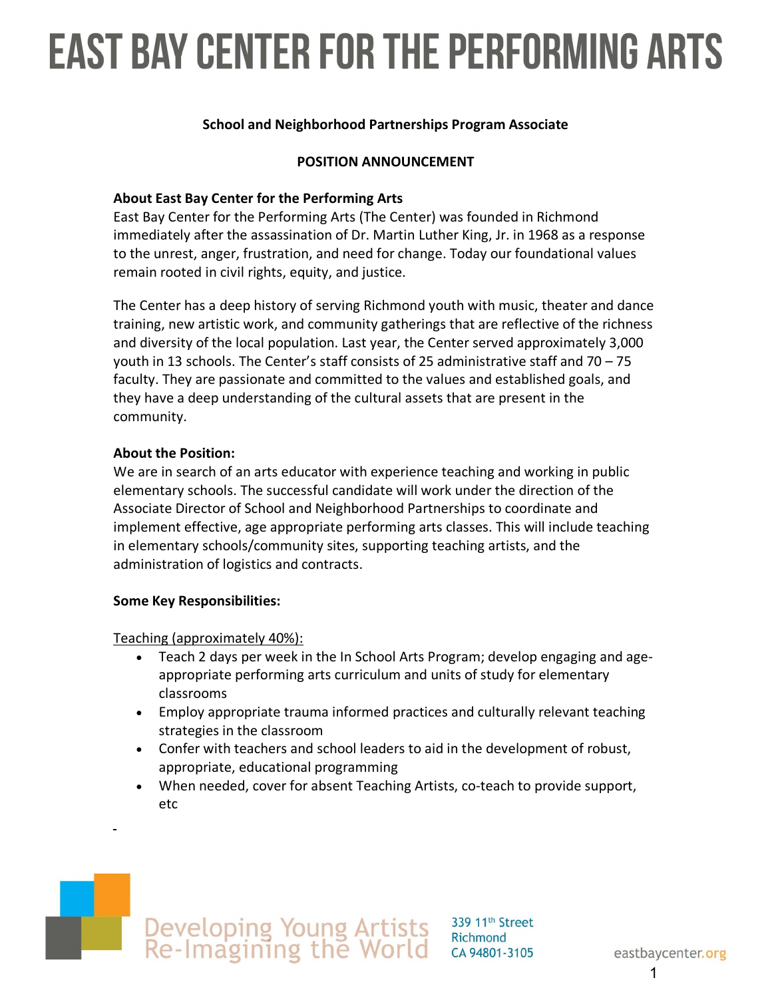# **EAST BAY CENTER FOR THE PERFORMING ARTS**

#### **School and Neighborhood Partnerships Program Associate**

#### **POSITION ANNOUNCEMENT**

#### **About East Bay Center for the Performing Arts**

East Bay Center for the Performing Arts (The Center) was founded in Richmond immediately after the assassination of Dr. Martin Luther King, Jr. in 1968 as a response to the unrest, anger, frustration, and need for change. Today our foundational values remain rooted in civil rights, equity, and justice.

The Center has a deep history of serving Richmond youth with music, theater and dance training, new artistic work, and community gatherings that are reflective of the richness and diversity of the local population. Last year, the Center served approximately 3,000 youth in 13 schools. The Center's staff consists of 25 administrative staff and 70 – 75 faculty. They are passionate and committed to the values and established goals, and they have a deep understanding of the cultural assets that are present in the community.

#### **About the Position:**

We are in search of an arts educator with experience teaching and working in public elementary schools. The successful candidate will work under the direction of the Associate Director of School and Neighborhood Partnerships to coordinate and implement effective, age appropriate performing arts classes. This will include teaching in elementary schools/community sites, supporting teaching artists, and the administration of logistics and contracts.

#### **Some Key Responsibilities:**

Teaching (approximately 40%):

- Teach 2 days per week in the In School Arts Program; develop engaging and ageappropriate performing arts curriculum and units of study for elementary classrooms
- Employ appropriate trauma informed practices and culturally relevant teaching strategies in the classroom
- Confer with teachers and school leaders to aid in the development of robust, appropriate, educational programming
- When needed, cover for absent Teaching Artists, co-teach to provide support, etc

# Developing Young Artists<br>Re-Imagining the World

339 11th Street Richmond CA 94801-3105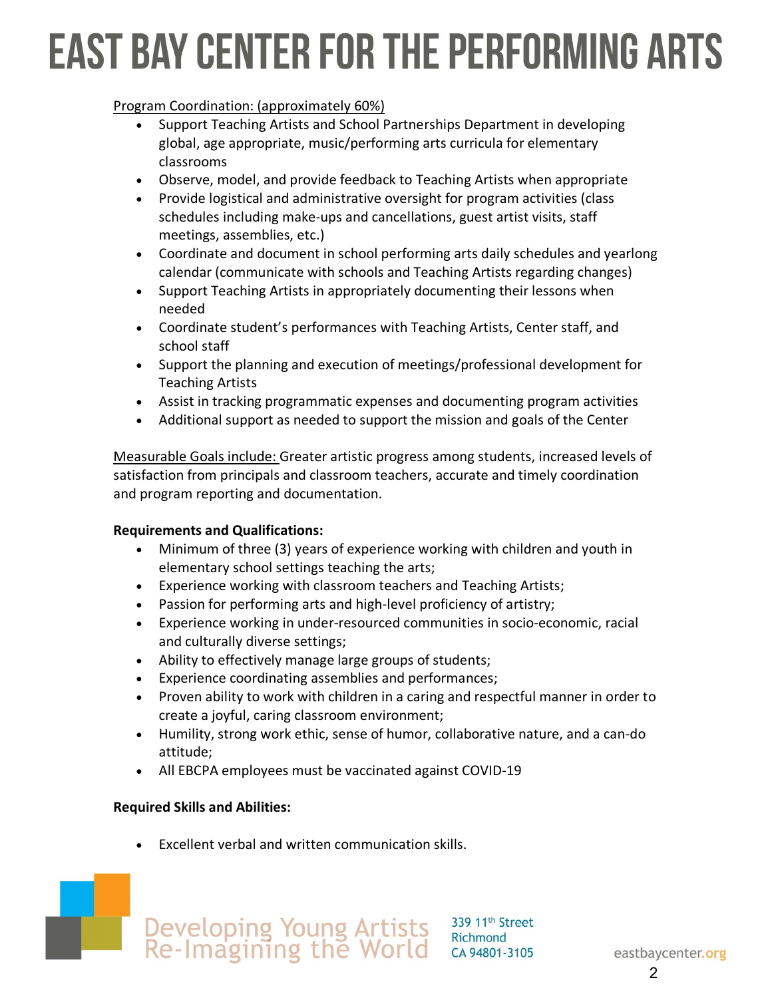# **EAST BAY CENTER FOR THE PERFORMING ARTS**

#### Program Coordination: (approximately 60%)

- Support Teaching Artists and School Partnerships Department in developing global, age appropriate, music/performing arts curricula for elementary classrooms
- Observe, model, and provide feedback to Teaching Artists when appropriate
- Provide logistical and administrative oversight for program activities (class schedules including make-ups and cancellations, guest artist visits, staff meetings, assemblies, etc.)
- Coordinate and document in school performing arts daily schedules and yearlong calendar (communicate with schools and Teaching Artists regarding changes)
- Support Teaching Artists in appropriately documenting their lessons when needed
- Coordinate student's performances with Teaching Artists, Center staff, and school staff
- Support the planning and execution of meetings/professional development for Teaching Artists
- Assist in tracking programmatic expenses and documenting program activities
- Additional support as needed to support the mission and goals of the Center

Measurable Goals include: Greater artistic progress among students, increased levels of satisfaction from principals and classroom teachers, accurate and timely coordination and program reporting and documentation.

#### **Requirements and Qualifications:**

- Minimum of three (3) years of experience working with children and youth in elementary school settings teaching the arts;
- Experience working with classroom teachers and Teaching Artists;
- Passion for performing arts and high-level proficiency of artistry;
- Experience working in under-resourced communities in socio-economic, racial and culturally diverse settings;
- Ability to effectively manage large groups of students;
- Experience coordinating assemblies and performances;
- Proven ability to work with children in a caring and respectful manner in order to create a joyful, caring classroom environment;
- Humility, strong work ethic, sense of humor, collaborative nature, and a can-do attitude;
- All EBCPA employees must be vaccinated against COVID-19

# **Required Skills and Abilities:**

• Excellent verbal and written communication skills.



2